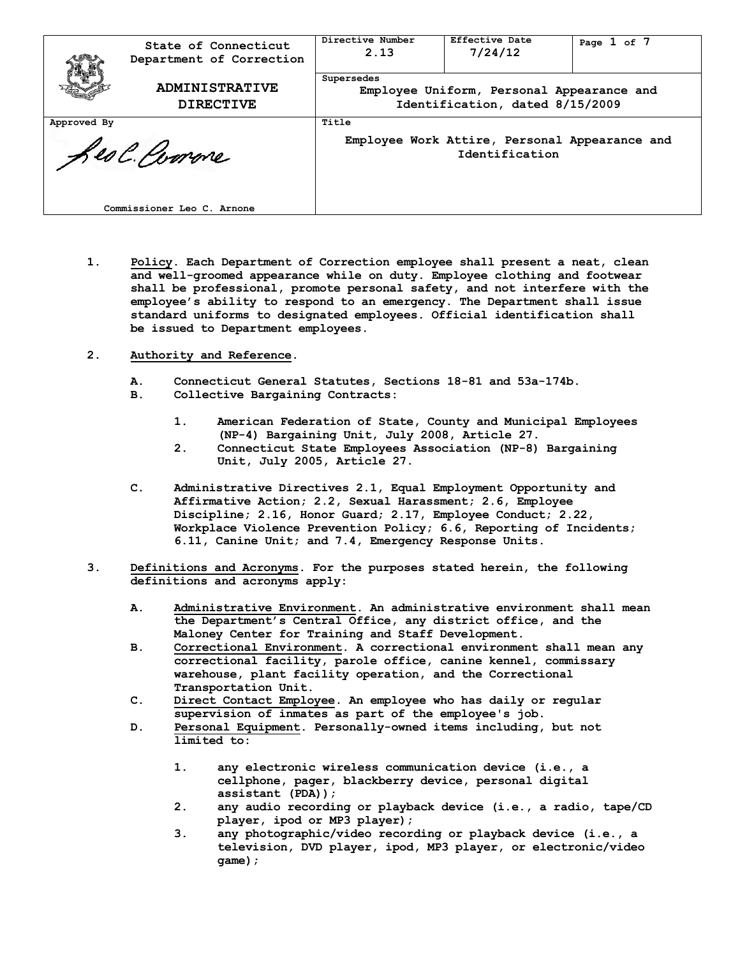| State of Connecticut<br>Department of Correction       |  | Directive Number<br>2.13                                                                   | Effective Date<br>7/24/12 | Page $1$ of $7$ |
|--------------------------------------------------------|--|--------------------------------------------------------------------------------------------|---------------------------|-----------------|
| <b>ADMINISTRATIVE</b><br><b>DIRECTIVE</b>              |  | Supersedes<br>Employee Uniform, Personal Appearance and<br>Identification, dated 8/15/2009 |                           |                 |
| Approved By<br>Les Comme<br>Commissioner Leo C. Arnone |  | Title<br>Employee Work Attire, Personal Appearance and<br>Identification                   |                           |                 |

**1. Policy. Each Department of Correction employee shall present a neat, clean and well-groomed appearance while on duty. Employee clothing and footwear shall be professional, promote personal safety, and not interfere with the employee's ability to respond to an emergency. The Department shall issue standard uniforms to designated employees. Official identification shall be issued to Department employees.**

## **2. Authority and Reference.**

- **A. Connecticut General Statutes, Sections 18-81 and 53a-174b.**
- **B. Collective Bargaining Contracts:**
	- **1. American Federation of State, County and Municipal Employees (NP-4) Bargaining Unit, July 2008, Article 27.**
	- **2. Connecticut State Employees Association (NP-8) Bargaining Unit, July 2005, Article 27.**
- **C. Administrative Directives 2.1, Equal Employment Opportunity and Affirmative Action; 2.2, Sexual Harassment; 2.6, Employee Discipline; 2.16, Honor Guard; 2.17, Employee Conduct; 2.22, Workplace Violence Prevention Policy; 6.6, Reporting of Incidents; 6.11, Canine Unit; and 7.4, Emergency Response Units.**
- **3. Definitions and Acronyms. For the purposes stated herein, the following definitions and acronyms apply:**
	- **A. Administrative Environment. An administrative environment shall mean the Department's Central Office, any district office, and the Maloney Center for Training and Staff Development.**
	- **B. Correctional Environment. A correctional environment shall mean any correctional facility, parole office, canine kennel, commissary warehouse, plant facility operation, and the Correctional Transportation Unit.**
	- **C. Direct Contact Employee. An employee who has daily or regular supervision of inmates as part of the employee's job.**
	- **D. Personal Equipment. Personally-owned items including, but not limited to:**
		- **1. any electronic wireless communication device (i.e., a cellphone, pager, blackberry device, personal digital assistant (PDA));**
		- **2. any audio recording or playback device (i.e., a radio, tape/CD player, ipod or MP3 player);**
		- **3. any photographic/video recording or playback device (i.e., a television, DVD player, ipod, MP3 player, or electronic/video game);**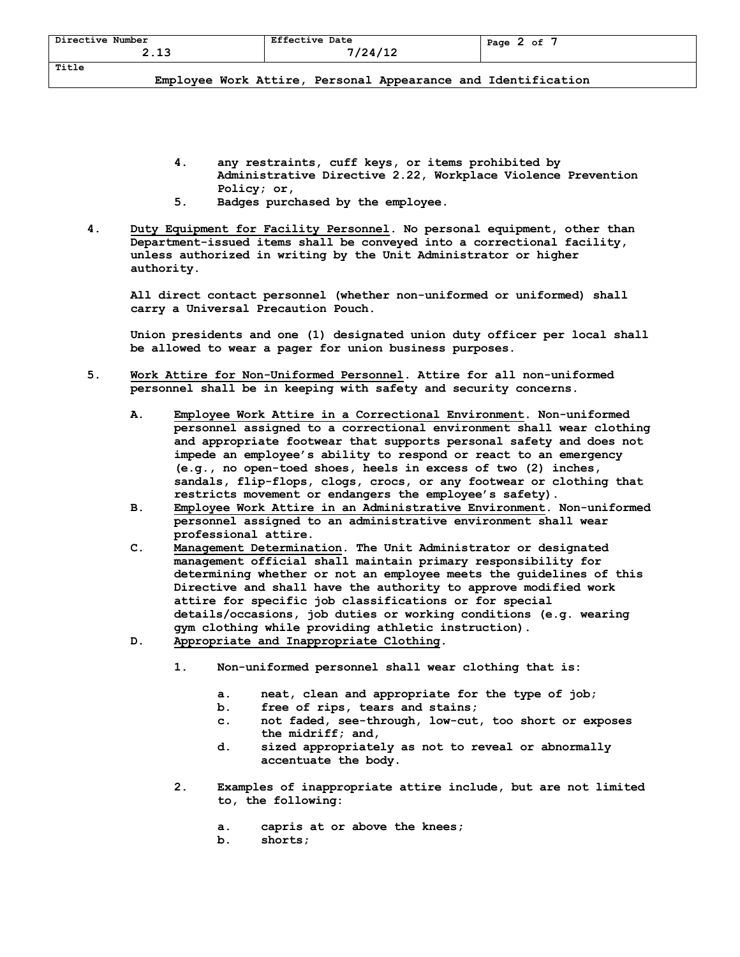| Directive<br>Number<br>- -<br>. . ـ ـ | <b>Effective Date</b><br>12113<br><u>+ +</u><br>$-1$ | оf<br>Page<br>- |
|---------------------------------------|------------------------------------------------------|-----------------|
| Title                                 |                                                      |                 |

- **4. any restraints, cuff keys, or items prohibited by Administrative Directive 2.22, Workplace Violence Prevention Policy; or,**
- **5. Badges purchased by the employee.**
- **4. Duty Equipment for Facility Personnel. No personal equipment, other than Department-issued items shall be conveyed into a correctional facility, unless authorized in writing by the Unit Administrator or higher authority.**

**All direct contact personnel (whether non-uniformed or uniformed) shall carry a Universal Precaution Pouch.**

**Union presidents and one (1) designated union duty officer per local shall be allowed to wear a pager for union business purposes.**

- **5. Work Attire for Non-Uniformed Personnel. Attire for all non-uniformed personnel shall be in keeping with safety and security concerns.** 
	- **A. Employee Work Attire in a Correctional Environment. Non-uniformed personnel assigned to a correctional environment shall wear clothing and appropriate footwear that supports personal safety and does not impede an employee's ability to respond or react to an emergency (e.g., no open-toed shoes, heels in excess of two (2) inches, sandals, flip-flops, clogs, crocs, or any footwear or clothing that restricts movement or endangers the employee's safety).**
	- **B. Employee Work Attire in an Administrative Environment. Non-uniformed personnel assigned to an administrative environment shall wear professional attire.**
	- **C. Management Determination. The Unit Administrator or designated management official shall maintain primary responsibility for determining whether or not an employee meets the guidelines of this Directive and shall have the authority to approve modified work attire for specific job classifications or for special details/occasions, job duties or working conditions (e.g. wearing gym clothing while providing athletic instruction).**
	- **D. Appropriate and Inappropriate Clothing.** 
		- **1. Non-uniformed personnel shall wear clothing that is:** 
			- **a. neat, clean and appropriate for the type of job;**
			- **b. free of rips, tears and stains;**
			- **c. not faded, see-through, low-cut, too short or exposes the midriff; and,**
			- **d. sized appropriately as not to reveal or abnormally accentuate the body.**
		- **2. Examples of inappropriate attire include, but are not limited to, the following:** 
			- **a. capris at or above the knees;**
			- **b. shorts;**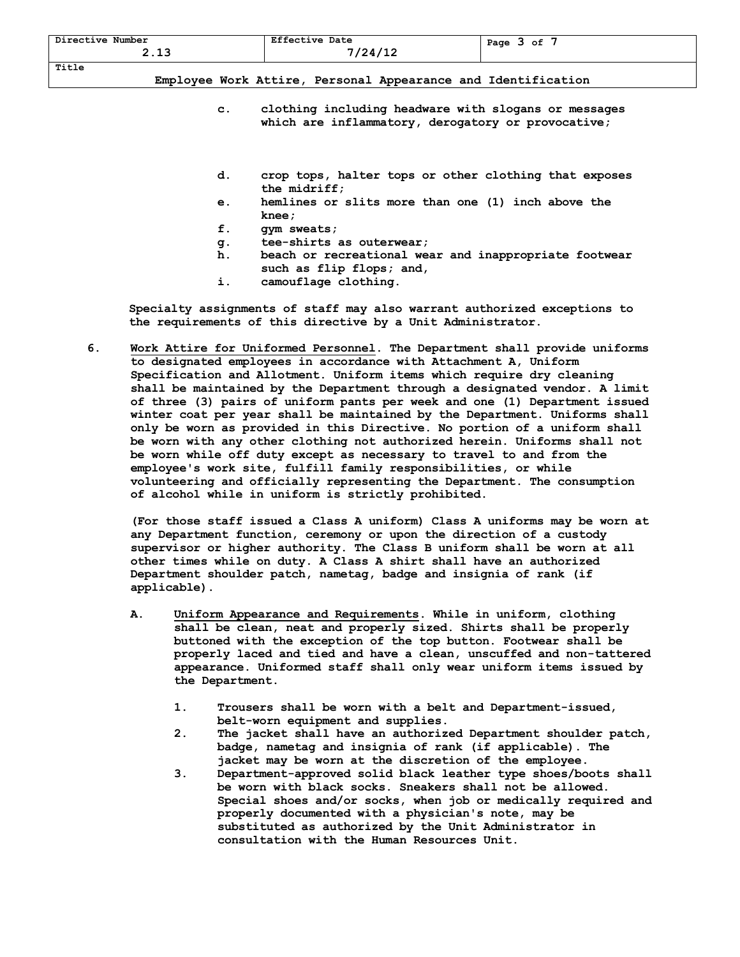| Directive Number<br>- -<br>- - - | <b>Effective Date</b><br>7/24/12 | оf<br>Page<br>— |
|----------------------------------|----------------------------------|-----------------|
| Title                            |                                  |                 |

- **c. clothing including headware with slogans or messages which are inflammatory, derogatory or provocative;**
- **d. crop tops, halter tops or other clothing that exposes the midriff;**
- **e. hemlines or slits more than one (1) inch above the knee;**
- **f. gym sweats;**
- **g. tee-shirts as outerwear;**
- **h. beach or recreational wear and inappropriate footwear such as flip flops; and,**
- **i. camouflage clothing.**

 **Specialty assignments of staff may also warrant authorized exceptions to the requirements of this directive by a Unit Administrator.**

**6. Work Attire for Uniformed Personnel. The Department shall provide uniforms to designated employees in accordance with Attachment A, Uniform Specification and Allotment. Uniform items which require dry cleaning shall be maintained by the Department through a designated vendor. A limit of three (3) pairs of uniform pants per week and one (1) Department issued winter coat per year shall be maintained by the Department. Uniforms shall only be worn as provided in this Directive. No portion of a uniform shall be worn with any other clothing not authorized herein. Uniforms shall not be worn while off duty except as necessary to travel to and from the employee's work site, fulfill family responsibilities, or while volunteering and officially representing the Department. The consumption of alcohol while in uniform is strictly prohibited.**

**(For those staff issued a Class A uniform) Class A uniforms may be worn at any Department function, ceremony or upon the direction of a custody supervisor or higher authority. The Class B uniform shall be worn at all other times while on duty. A Class A shirt shall have an authorized Department shoulder patch, nametag, badge and insignia of rank (if applicable).**

- **A. Uniform Appearance and Requirements. While in uniform, clothing shall be clean, neat and properly sized. Shirts shall be properly buttoned with the exception of the top button. Footwear shall be properly laced and tied and have a clean, unscuffed and non-tattered appearance. Uniformed staff shall only wear uniform items issued by the Department.**
	- **1. Trousers shall be worn with a belt and Department-issued, belt-worn equipment and supplies.**
	- **2. The jacket shall have an authorized Department shoulder patch, badge, nametag and insignia of rank (if applicable). The jacket may be worn at the discretion of the employee.**
	- **3. Department-approved solid black leather type shoes/boots shall be worn with black socks. Sneakers shall not be allowed. Special shoes and/or socks, when job or medically required and properly documented with a physician's note, may be substituted as authorized by the Unit Administrator in consultation with the Human Resources Unit.**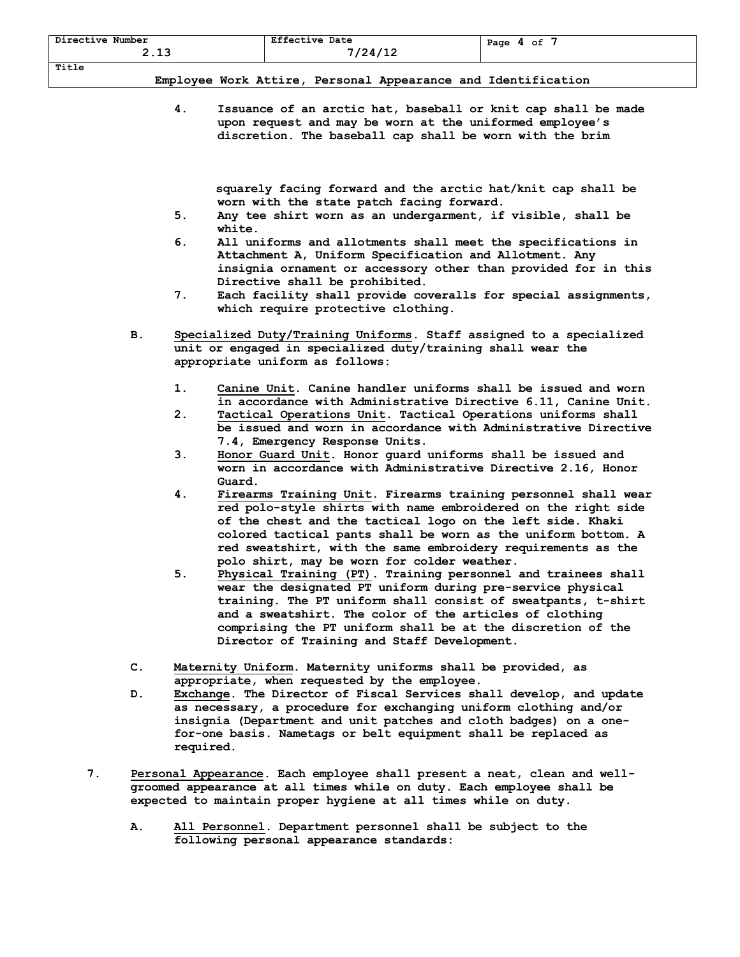| Directive Number<br>ຳລ | <b>Effective Date</b>    | Page 4 of |
|------------------------|--------------------------|-----------|
| د. د                   | 7/24/12                  |           |
| Title                  |                          |           |
| ----------<br>$\sim$   | $\overline{\phantom{0}}$ | .         |

**4. Issuance of an arctic hat, baseball or knit cap shall be made upon request and may be worn at the uniformed employee's discretion. The baseball cap shall be worn with the brim** 

 **squarely facing forward and the arctic hat/knit cap shall be worn with the state patch facing forward.** 

- **5. Any tee shirt worn as an undergarment, if visible, shall be white.**
- **6. All uniforms and allotments shall meet the specifications in Attachment A, Uniform Specification and Allotment. Any insignia ornament or accessory other than provided for in this Directive shall be prohibited.**
- **7. Each facility shall provide coveralls for special assignments, which require protective clothing.**
- **B. Specialized Duty/Training Uniforms. Staff assigned to a specialized unit or engaged in specialized duty/training shall wear the appropriate uniform as follows:**
	- **1. Canine Unit. Canine handler uniforms shall be issued and worn in accordance with Administrative Directive 6.11, Canine Unit.**
	- **2. Tactical Operations Unit. Tactical Operations uniforms shall be issued and worn in accordance with Administrative Directive 7.4, Emergency Response Units.**
	- **3. Honor Guard Unit. Honor guard uniforms shall be issued and worn in accordance with Administrative Directive 2.16, Honor Guard.**
	- **4. Firearms Training Unit. Firearms training personnel shall wear red polo-style shirts with name embroidered on the right side of the chest and the tactical logo on the left side. Khaki colored tactical pants shall be worn as the uniform bottom. A red sweatshirt, with the same embroidery requirements as the polo shirt, may be worn for colder weather.**
	- **5. Physical Training (PT). Training personnel and trainees shall wear the designated PT uniform during pre-service physical training. The PT uniform shall consist of sweatpants, t-shirt and a sweatshirt. The color of the articles of clothing comprising the PT uniform shall be at the discretion of the Director of Training and Staff Development.**
- **C. Maternity Uniform. Maternity uniforms shall be provided, as appropriate, when requested by the employee.**
- **D. Exchange. The Director of Fiscal Services shall develop, and update as necessary, a procedure for exchanging uniform clothing and/or insignia (Department and unit patches and cloth badges) on a onefor-one basis. Nametags or belt equipment shall be replaced as required.**
- **7. Personal Appearance. Each employee shall present a neat, clean and wellgroomed appearance at all times while on duty. Each employee shall be expected to maintain proper hygiene at all times while on duty.**
	- **A. All Personnel. Department personnel shall be subject to the following personal appearance standards:**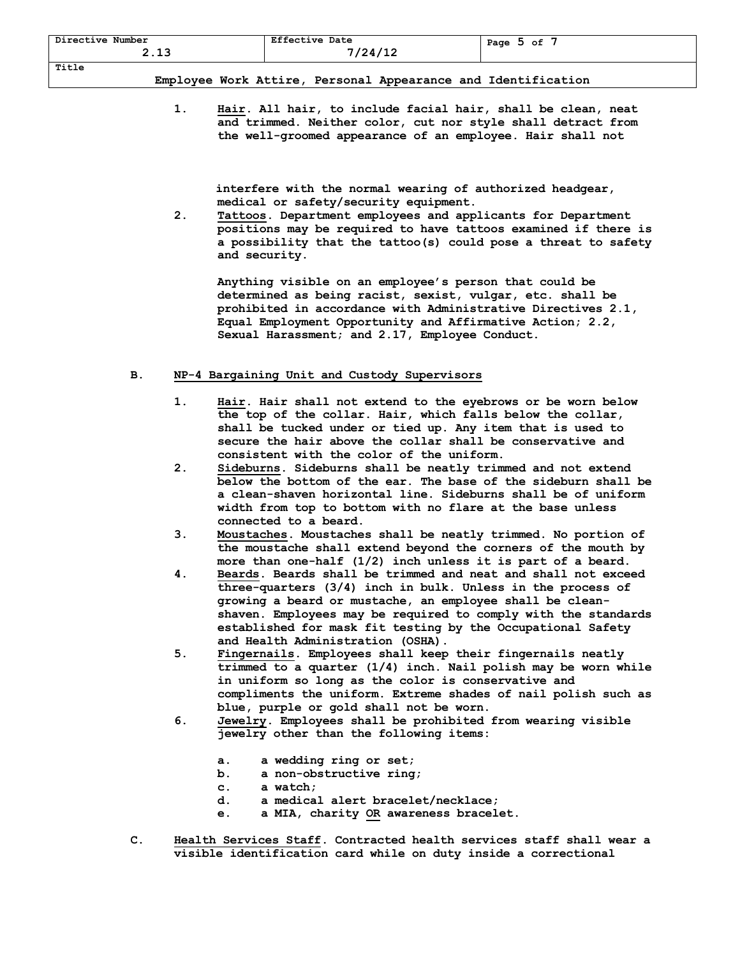| Directive Number<br>2.13 | <b>Effective Date</b><br>7/24/12                             | Page $5$ of $7$ |
|--------------------------|--------------------------------------------------------------|-----------------|
| Title                    |                                                              |                 |
|                          | Employee Work Attire, Personal Appearance and Identification |                 |

**1. Hair. All hair, to include facial hair, shall be clean, neat and trimmed. Neither color, cut nor style shall detract from the well-groomed appearance of an employee. Hair shall not** 

 **interfere with the normal wearing of authorized headgear, medical or safety/security equipment.**

**2. Tattoos. Department employees and applicants for Department positions may be required to have tattoos examined if there is a possibility that the tattoo(s) could pose a threat to safety and security.** 

**Anything visible on an employee's person that could be determined as being racist, sexist, vulgar, etc. shall be prohibited in accordance with Administrative Directives 2.1, Equal Employment Opportunity and Affirmative Action; 2.2, Sexual Harassment; and 2.17, Employee Conduct.**

## **B. NP-4 Bargaining Unit and Custody Supervisors**

- **1. Hair. Hair shall not extend to the eyebrows or be worn below the top of the collar. Hair, which falls below the collar, shall be tucked under or tied up. Any item that is used to secure the hair above the collar shall be conservative and consistent with the color of the uniform.**
- **2. Sideburns. Sideburns shall be neatly trimmed and not extend below the bottom of the ear. The base of the sideburn shall be a clean-shaven horizontal line. Sideburns shall be of uniform width from top to bottom with no flare at the base unless connected to a beard.**
- **3. Moustaches. Moustaches shall be neatly trimmed. No portion of the moustache shall extend beyond the corners of the mouth by more than one-half (1/2) inch unless it is part of a beard.**
- **4. Beards. Beards shall be trimmed and neat and shall not exceed three-quarters (3/4) inch in bulk. Unless in the process of growing a beard or mustache, an employee shall be cleanshaven. Employees may be required to comply with the standards established for mask fit testing by the Occupational Safety and Health Administration (OSHA).**
- **5. Fingernails. Employees shall keep their fingernails neatly trimmed to a quarter (1/4) inch. Nail polish may be worn while in uniform so long as the color is conservative and compliments the uniform. Extreme shades of nail polish such as blue, purple or gold shall not be worn.**
- **6. Jewelry. Employees shall be prohibited from wearing visible jewelry other than the following items:**
	- **a. a wedding ring or set;**
	- **b. a non-obstructive ring;**
	- **c. a watch;**
	- **d. a medical alert bracelet/necklace;**
	- **e. a MIA, charity OR awareness bracelet.**
- **C. Health Services Staff. Contracted health services staff shall wear a visible identification card while on duty inside a correctional**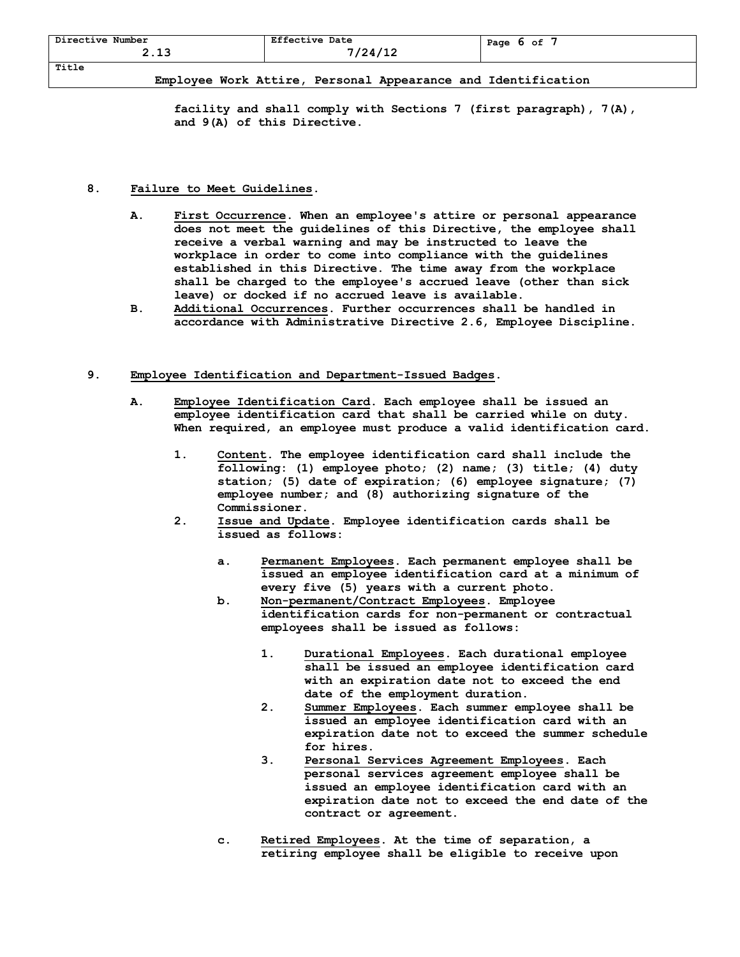| Directive Number<br>- -<br>- - - | <b>Effective Date</b><br>124/12 | Page<br>оf |
|----------------------------------|---------------------------------|------------|
| Title                            |                                 |            |

**facility and shall comply with Sections 7 (first paragraph), 7(A), and 9(A) of this Directive.**

## **8. Failure to Meet Guidelines.**

- **A. First Occurrence. When an employee's attire or personal appearance does not meet the guidelines of this Directive, the employee shall receive a verbal warning and may be instructed to leave the workplace in order to come into compliance with the guidelines established in this Directive. The time away from the workplace shall be charged to the employee's accrued leave (other than sick leave) or docked if no accrued leave is available.**
- **B. Additional Occurrences. Further occurrences shall be handled in accordance with Administrative Directive 2.6, Employee Discipline.**

## **9. Employee Identification and Department-Issued Badges.**

- **A. Employee Identification Card. Each employee shall be issued an employee identification card that shall be carried while on duty. When required, an employee must produce a valid identification card.**
	- **1. Content. The employee identification card shall include the following: (1) employee photo; (2) name; (3) title; (4) duty station; (5) date of expiration; (6) employee signature; (7) employee number; and (8) authorizing signature of the Commissioner.**
	- **2. Issue and Update. Employee identification cards shall be issued as follows:**
		- **a. Permanent Employees. Each permanent employee shall be issued an employee identification card at a minimum of every five (5) years with a current photo.**
		- **b. Non-permanent/Contract Employees. Employee identification cards for non-permanent or contractual employees shall be issued as follows:**
			- **1. Durational Employees. Each durational employee shall be issued an employee identification card with an expiration date not to exceed the end date of the employment duration.**
			- **2. Summer Employees. Each summer employee shall be issued an employee identification card with an expiration date not to exceed the summer schedule for hires.**
			- **3. Personal Services Agreement Employees. Each personal services agreement employee shall be issued an employee identification card with an expiration date not to exceed the end date of the contract or agreement.**
		- **c. Retired Employees. At the time of separation, a retiring employee shall be eligible to receive upon**